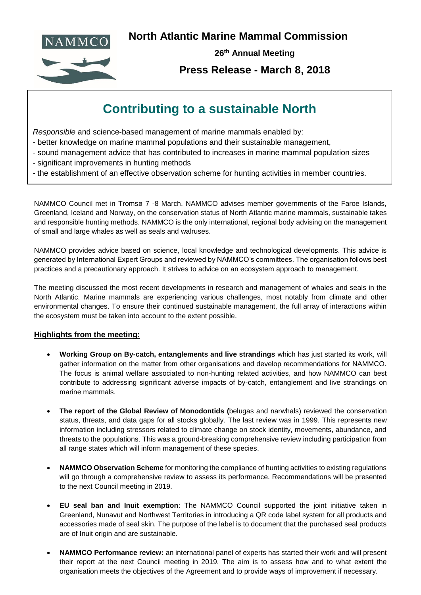

**North Atlantic Marine Mammal Commission**



**26th Annual Meeting**

## **Press Release - March 8, 2018**

## **Contributing to a sustainable North**

*Responsible* and science-based management of marine mammals enabled by:

- better knowledge on marine mammal populations and their sustainable management,
- sound management advice that has contributed to increases in marine mammal population sizes
- significant improvements in hunting methods
- the establishment of an effective observation scheme for hunting activities in member countries.

NAMMCO Council met in Tromsø 7 -8 March. NAMMCO advises member governments of the Faroe Islands, Greenland, Iceland and Norway, on the conservation status of North Atlantic marine mammals, sustainable takes and responsible hunting methods. NAMMCO is the only international, regional body advising on the management of small and large whales as well as seals and walruses.

NAMMCO provides advice based on science, local knowledge and technological developments. This advice is generated by International Expert Groups and reviewed by NAMMCO's committees. The organisation follows best practices and a precautionary approach. It strives to advice on an ecosystem approach to management.

The meeting discussed the most recent developments in research and management of whales and seals in the North Atlantic. Marine mammals are experiencing various challenges, most notably from climate and other environmental changes. To ensure their continued sustainable management, the full array of interactions within the ecosystem must be taken into account to the extent possible.

## **Highlights from the meeting:**

- **Working Group on By-catch, entanglements and live strandings** which has just started its work, will gather information on the matter from other organisations and develop recommendations for NAMMCO. The focus is animal welfare associated to non-hunting related activities, and how NAMMCO can best contribute to addressing significant adverse impacts of by-catch, entanglement and live strandings on marine mammals.
- **The report of the Global Review of Monodontids (**belugas and narwhals) reviewed the conservation status, threats, and data gaps for all stocks globally. The last review was in 1999. This represents new information including stressors related to climate change on stock identity, movements, abundance, and threats to the populations. This was a ground-breaking comprehensive review including participation from all range states which will inform management of these species.
- **NAMMCO Observation Scheme** for monitoring the compliance of hunting activities to existing regulations will go through a comprehensive review to assess its performance. Recommendations will be presented to the next Council meeting in 2019.
- **EU seal ban and Inuit exemption**: The NAMMCO Council supported the joint initiative taken in Greenland, Nunavut and Northwest Territories in introducing a QR code label system for all products and accessories made of seal skin. The purpose of the label is to document that the purchased seal products are of Inuit origin and are sustainable.
- **NAMMCO Performance review:** an international panel of experts has started their work and will present their report at the next Council meeting in 2019. The aim is to assess how and to what extent the organisation meets the objectives of the Agreement and to provide ways of improvement if necessary.